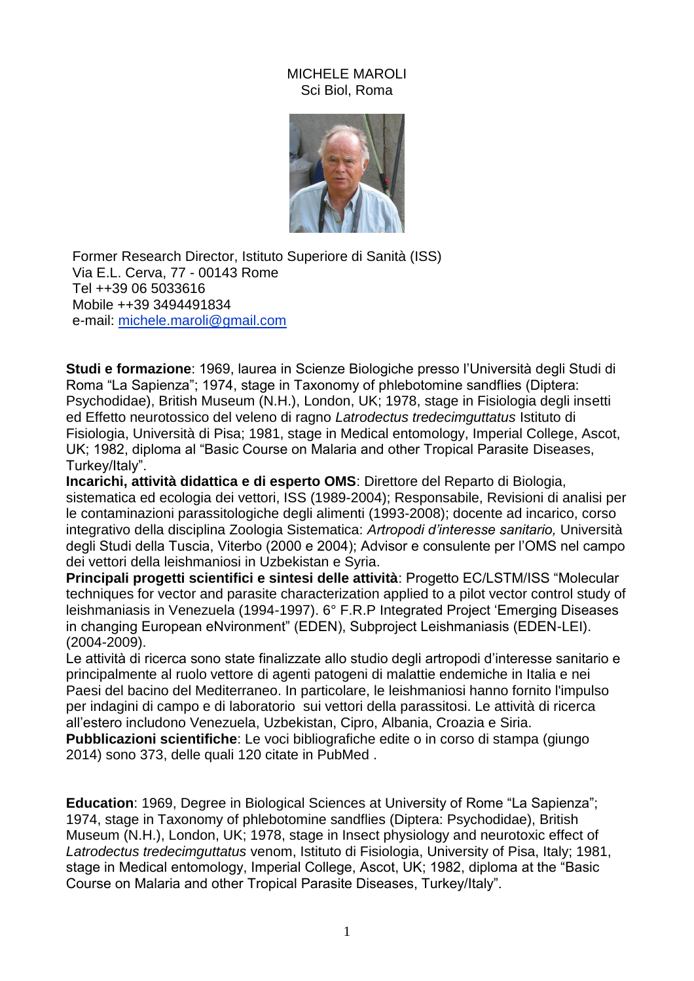## MICHELE MAROLI Sci Biol, Roma



Former Research Director, Istituto Superiore di Sanità (ISS) Via E.L. Cerva, 77 - 00143 Rome Tel ++39 06 5033616 Mobile ++39 3494491834 e-mail: [michele.maroli@gmail.com](mailto:michele.maroli@gmail.com)

**Studi e formazione**: 1969, laurea in Scienze Biologiche presso l'Università degli Studi di Roma "La Sapienza"; 1974, stage in Taxonomy of phlebotomine sandflies (Diptera: Psychodidae), British Museum (N.H.), London, UK; 1978, stage in Fisiologia degli insetti ed Effetto neurotossico del veleno di ragno *Latrodectus tredecimguttatus* Istituto di Fisiologia, Università di Pisa; 1981, stage in Medical entomology, Imperial College, Ascot, UK; 1982, diploma al "Basic Course on Malaria and other Tropical Parasite Diseases, Turkey/Italy".

**Incarichi, attività didattica e di esperto OMS**: Direttore del Reparto di Biologia, sistematica ed ecologia dei vettori, ISS (1989-2004); Responsabile, Revisioni di analisi per le contaminazioni parassitologiche degli alimenti (1993-2008); docente ad incarico, corso integrativo della disciplina Zoologia Sistematica: *Artropodi d'interesse sanitario,* Università degli Studi della Tuscia, Viterbo (2000 e 2004); Advisor e consulente per l'OMS nel campo dei vettori della leishmaniosi in Uzbekistan e Syria.

**Principali progetti scientifici e sintesi delle attività**: Progetto EC/LSTM/ISS "Molecular techniques for vector and parasite characterization applied to a pilot vector control study of leishmaniasis in Venezuela (1994-1997). 6° F.R.P Integrated Project 'Emerging Diseases in changing European eNvironment" (EDEN), Subproject Leishmaniasis (EDEN-LEI). (2004-2009).

Le attività di ricerca sono state finalizzate allo studio degli artropodi d'interesse sanitario e principalmente al ruolo vettore di agenti patogeni di malattie endemiche in Italia e nei Paesi del bacino del Mediterraneo. In particolare, le leishmaniosi hanno fornito l'impulso per indagini di campo e di laboratorio sui vettori della parassitosi. Le attività di ricerca all'estero includono Venezuela, Uzbekistan, Cipro, Albania, Croazia e Siria. **Pubblicazioni scientifiche**: Le voci bibliografiche edite o in corso di stampa (giungo

2014) sono 373, delle quali 120 citate in PubMed .

**Education**: 1969, Degree in Biological Sciences at University of Rome "La Sapienza"; 1974, stage in Taxonomy of phlebotomine sandflies (Diptera: Psychodidae), British Museum (N.H.), London, UK; 1978, stage in Insect physiology and neurotoxic effect of *Latrodectus tredecimguttatus* venom, Istituto di Fisiologia, University of Pisa, Italy; 1981, stage in Medical entomology, Imperial College, Ascot, UK; 1982, diploma at the "Basic Course on Malaria and other Tropical Parasite Diseases, Turkey/Italy".